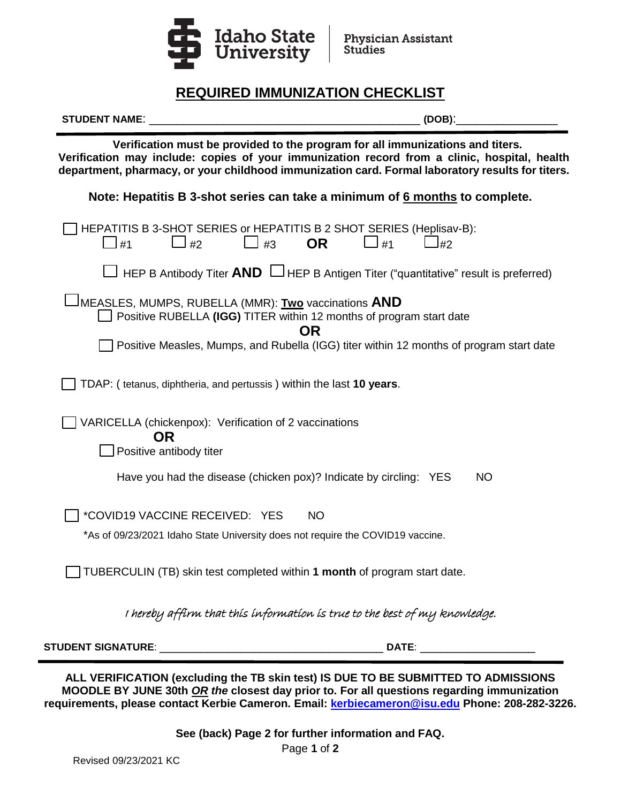

# **REQUIRED IMMUNIZATION CHECKLIST**

| <b>STUDENT NAME:</b>                                                                                                                                                                                                                                                               | (DOB):                                                                                                                   |
|------------------------------------------------------------------------------------------------------------------------------------------------------------------------------------------------------------------------------------------------------------------------------------|--------------------------------------------------------------------------------------------------------------------------|
| Verification must be provided to the program for all immunizations and titers.<br>Verification may include: copies of your immunization record from a clinic, hospital, health<br>department, pharmacy, or your childhood immunization card. Formal laboratory results for titers. |                                                                                                                          |
|                                                                                                                                                                                                                                                                                    | Note: Hepatitis B 3-shot series can take a minimum of 6 months to complete.                                              |
| $\Box$ #1<br>$\Box$ #2                                                                                                                                                                                                                                                             | HEPATITIS B 3-SHOT SERIES or HEPATITIS B 2 SHOT SERIES (Heplisav-B):<br>$\Box$ #3<br><b>OR</b><br>$\Box$ #1<br>$\Box$ #2 |
|                                                                                                                                                                                                                                                                                    | $\Box$ HEP B Antibody Titer <b>AND</b> $\Box$ HEP B Antigen Titer ("quantitative" result is preferred)                   |
| <sup>J</sup> MEASLES, MUMPS, RUBELLA (MMR): Two vaccinations <b>AND</b>                                                                                                                                                                                                            | Positive RUBELLA (IGG) TITER within 12 months of program start date<br><b>OR</b>                                         |
|                                                                                                                                                                                                                                                                                    | Positive Measles, Mumps, and Rubella (IGG) titer within 12 months of program start date                                  |
| TDAP: (tetanus, diphtheria, and pertussis) within the last 10 years.                                                                                                                                                                                                               |                                                                                                                          |
| VARICELLA (chickenpox): Verification of 2 vaccinations<br><b>OR</b>                                                                                                                                                                                                                |                                                                                                                          |
| Positive antibody titer                                                                                                                                                                                                                                                            |                                                                                                                          |
|                                                                                                                                                                                                                                                                                    | Have you had the disease (chicken pox)? Indicate by circling: YES<br><b>NO</b>                                           |
| *COVID19 VACCINE RECEIVED: YES                                                                                                                                                                                                                                                     | <b>NO</b>                                                                                                                |
|                                                                                                                                                                                                                                                                                    | *As of 09/23/2021 Idaho State University does not require the COVID19 vaccine.                                           |
|                                                                                                                                                                                                                                                                                    | TUBERCULIN (TB) skin test completed within 1 month of program start date.                                                |
|                                                                                                                                                                                                                                                                                    | I hereby affirm that this information is true to the best of my knowledge.                                               |
|                                                                                                                                                                                                                                                                                    | DATE:                                                                                                                    |

**ALL VERIFICATION (excluding the TB skin test) IS DUE TO BE SUBMITTED TO ADMISSIONS MOODLE BY JUNE 30th** *OR the* **closest day prior to. For all questions regarding immunization requirements, please contact Kerbie Cameron. Email: [kerbiecameron@isu.edu](mailto:kerbiecameron@isu.edu) Phone: 208-282-3226.**

> Page **1** of **2 See (back) Page 2 for further information and FAQ.**